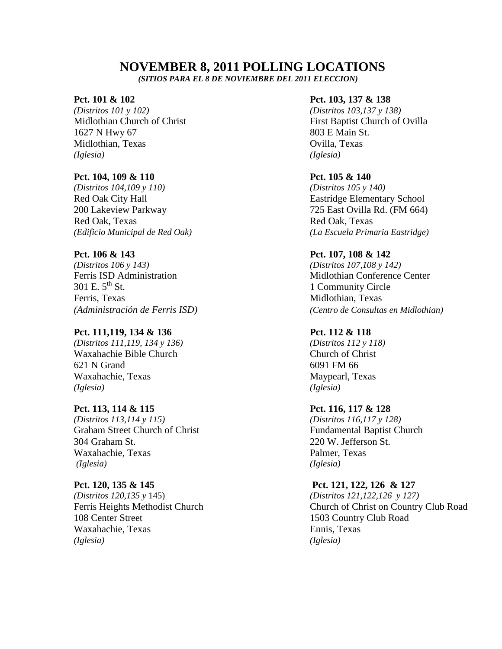# **NOVEMBER 8, 2011 POLLING LOCATIONS**

 *(SITIOS PARA EL 8 DE NOVIEMBRE DEL 2011 ELECCION)*

*(Distritos 101 y 102) (Distritos 103,137 y 138)* 1627 N Hwy 67 803 E Main St. Midlothian, Texas Ovilla, Texas *(Iglesia) (Iglesia)*

### **Pct. 104, 109 & 110 Pct. 105 & 140**

*(Distritos 104,109 y 110) (Distritos 105 y 140)* Red Oak, Texas Red Oak, Texas

*(Distritos 106 y 143) (Distritos 107,108 y 142)*  $301 \text{ E. } 5^{\text{th}} \text{ St.}$  1 Community Circle Ferris, Texas Midlothian, Texas

## **Pct. 111,119, 134 & 136 Pct. 112 & 118**

*(Distritos 111,119, 134 y 136) (Distritos 112 y 118)* Waxahachie Bible Church Church of Christ 621 N Grand 6091 FM 66 Waxahachie, Texas Maypearl, Texas *(Iglesia) (Iglesia)*

*(Distritos 113,114 y 115) (Distritos 116,117 y 128)* Graham Street Church of Christ Fundamental Baptist Church 304 Graham St. 220 W. Jefferson St. Waxahachie, Texas Palmer, Texas *(Iglesia) (Iglesia)*

*(Distritos 120,135 y* 145) *(Distritos 121,122,126 y 127)* 108 Center Street 1503 Country Club Road Waxahachie, Texas Ennis, Texas *(Iglesia) (Iglesia)*

### **Pct. 101 & 102 Pct. 103, 137 & 138**

Midlothian Church of Christ **First Baptist Church of Ovilla** 

Red Oak City Hall **Eastridge Elementary School** 200 Lakeview Parkway 725 East Ovilla Rd. (FM 664) *(Edificio Municipal de Red Oak) (La Escuela Primaria Eastridge)*

### **Pct. 106 & 143 Pct. 107, 108 & 142**

Ferris ISD Administration and Midlothian Conference Center *(Administración de Ferris ISD) (Centro de Consultas en Midlothian)*

### **Pct. 113, 114 & 115 Pct. 116, 117 & 128**

### **Pct. 120, 135 & 145 Pct. 121, 122, 126 & 127**

Ferris Heights Methodist Church Church of Christ on Country Club Road